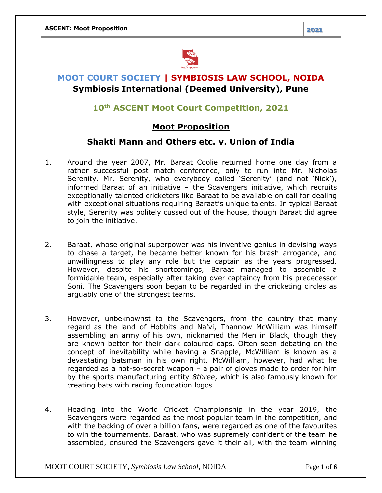

# **MOOT COURT SOCIETY | SYMBIOSIS LAW SCHOOL, NOIDA Symbiosis International (Deemed University), Pune**

## **10th ASCENT Moot Court Competition, 2021**

## **Moot Proposition**

#### **Shakti Mann and Others etc. v. Union of India**

- 1. Around the year 2007, Mr. Baraat Coolie returned home one day from a rather successful post match conference, only to run into Mr. Nicholas Serenity. Mr. Serenity, who everybody called 'Serenity' (and not 'Nick'), informed Baraat of an initiative – the Scavengers initiative, which recruits exceptionally talented cricketers like Baraat to be available on call for dealing with exceptional situations requiring Baraat's unique talents. In typical Baraat style, Serenity was politely cussed out of the house, though Baraat did agree to join the initiative.
- 2. Baraat, whose original superpower was his inventive genius in devising ways to chase a target, he became better known for his brash arrogance, and unwillingness to play any role but the captain as the years progressed. However, despite his shortcomings, Baraat managed to assemble a formidable team, especially after taking over captaincy from his predecessor Soni. The Scavengers soon began to be regarded in the cricketing circles as arguably one of the strongest teams.
- 3. However, unbeknownst to the Scavengers, from the country that many regard as the land of Hobbits and Na'vi, Thannow McWilliam was himself assembling an army of his own, nicknamed the Men in Black, though they are known better for their dark coloured caps. Often seen debating on the concept of inevitability while having a Snapple, McWilliam is known as a devastating batsman in his own right. McWilliam, however, had what he regarded as a not-so-secret weapon – a pair of gloves made to order for him by the sports manufacturing entity *8three*, which is also famously known for creating bats with racing foundation logos.
- 4. Heading into the World Cricket Championship in the year 2019, the Scavengers were regarded as the most popular team in the competition, and with the backing of over a billion fans, were regarded as one of the favourites to win the tournaments. Baraat, who was supremely confident of the team he assembled, ensured the Scavengers gave it their all, with the team winning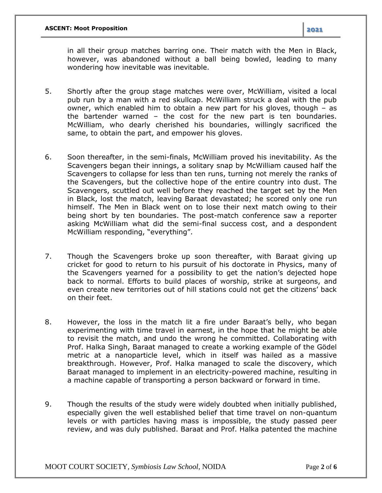in all their group matches barring one. Their match with the Men in Black, however, was abandoned without a ball being bowled, leading to many wondering how inevitable was inevitable.

- 5. Shortly after the group stage matches were over, McWilliam, visited a local pub run by a man with a red skullcap. McWilliam struck a deal with the pub owner, which enabled him to obtain a new part for his gloves, though – as the bartender warned – the cost for the new part is ten boundaries. McWilliam, who dearly cherished his boundaries, willingly sacrificed the same, to obtain the part, and empower his gloves.
- 6. Soon thereafter, in the semi-finals, McWilliam proved his inevitability. As the Scavengers began their innings, a solitary snap by McWilliam caused half the Scavengers to collapse for less than ten runs, turning not merely the ranks of the Scavengers, but the collective hope of the entire country into dust. The Scavengers, scuttled out well before they reached the target set by the Men in Black, lost the match, leaving Baraat devastated; he scored only one run himself. The Men in Black went on to lose their next match owing to their being short by ten boundaries. The post-match conference saw a reporter asking McWilliam what did the semi-final success cost, and a despondent McWilliam responding, "everything".
- 7. Though the Scavengers broke up soon thereafter, with Baraat giving up cricket for good to return to his pursuit of his doctorate in Physics, many of the Scavengers yearned for a possibility to get the nation's dejected hope back to normal. Efforts to build places of worship, strike at surgeons, and even create new territories out of hill stations could not get the citizens' back on their feet.
- 8. However, the loss in the match lit a fire under Baraat's belly, who began experimenting with time travel in earnest, in the hope that he might be able to revisit the match, and undo the wrong he committed. Collaborating with Prof. Halka Singh, Baraat managed to create a working example of the Gödel metric at a nanoparticle level, which in itself was hailed as a massive breakthrough. However, Prof. Halka managed to scale the discovery, which Baraat managed to implement in an electricity-powered machine, resulting in a machine capable of transporting a person backward or forward in time.
- 9. Though the results of the study were widely doubted when initially published, especially given the well established belief that time travel on non-quantum levels or with particles having mass is impossible, the study passed peer review, and was duly published. Baraat and Prof. Halka patented the machine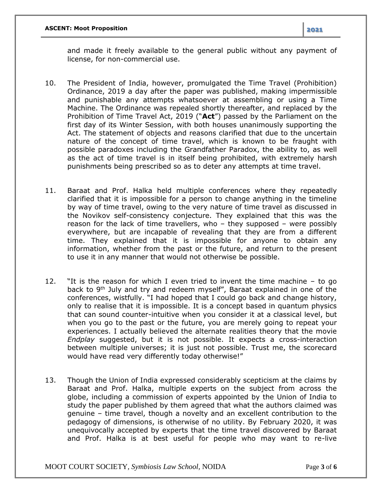and made it freely available to the general public without any payment of license, for non-commercial use.

- 10. The President of India, however, promulgated the Time Travel (Prohibition) Ordinance, 2019 a day after the paper was published, making impermissible and punishable any attempts whatsoever at assembling or using a Time Machine. The Ordinance was repealed shortly thereafter, and replaced by the Prohibition of Time Travel Act, 2019 ("**Act**") passed by the Parliament on the first day of its Winter Session, with both houses unanimously supporting the Act. The statement of objects and reasons clarified that due to the uncertain nature of the concept of time travel, which is known to be fraught with possible paradoxes including the Grandfather Paradox, the ability to, as well as the act of time travel is in itself being prohibited, with extremely harsh punishments being prescribed so as to deter any attempts at time travel.
- 11. Baraat and Prof. Halka held multiple conferences where they repeatedly clarified that it is impossible for a person to change anything in the timeline by way of time travel, owing to the very nature of time travel as discussed in the Novikov self-consistency conjecture. They explained that this was the reason for the lack of time travellers, who – they supposed – were possibly everywhere, but are incapable of revealing that they are from a different time. They explained that it is impossible for anyone to obtain any information, whether from the past or the future, and return to the present to use it in any manner that would not otherwise be possible.
- 12. "It is the reason for which I even tried to invent the time machine to go back to 9<sup>th</sup> July and try and redeem myself", Baraat explained in one of the conferences, wistfully. "I had hoped that I could go back and change history, only to realise that it is impossible. It is a concept based in quantum physics that can sound counter-intuitive when you consider it at a classical level, but when you go to the past or the future, you are merely going to repeat your experiences. I actually believed the alternate realities theory that the movie *Endplay* suggested, but it is not possible. It expects a cross-interaction between multiple universes; it is just not possible. Trust me, the scorecard would have read very differently today otherwise!"
- 13. Though the Union of India expressed considerably scepticism at the claims by Baraat and Prof. Halka, multiple experts on the subject from across the globe, including a commission of experts appointed by the Union of India to study the paper published by them agreed that what the authors claimed was genuine – time travel, though a novelty and an excellent contribution to the pedagogy of dimensions, is otherwise of no utility. By February 2020, it was unequivocally accepted by experts that the time travel discovered by Baraat and Prof. Halka is at best useful for people who may want to re-live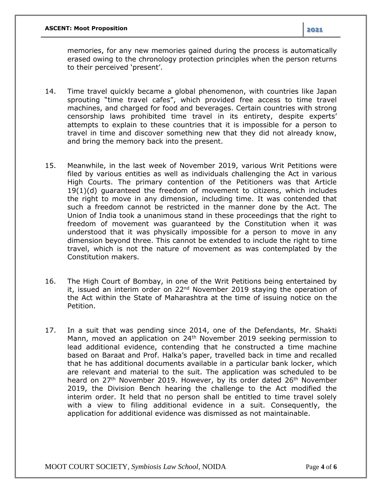memories, for any new memories gained during the process is automatically erased owing to the chronology protection principles when the person returns to their perceived 'present'.

- 14. Time travel quickly became a global phenomenon, with countries like Japan sprouting "time travel cafes", which provided free access to time travel machines, and charged for food and beverages. Certain countries with strong censorship laws prohibited time travel in its entirety, despite experts' attempts to explain to these countries that it is impossible for a person to travel in time and discover something new that they did not already know, and bring the memory back into the present.
- 15. Meanwhile, in the last week of November 2019, various Writ Petitions were filed by various entities as well as individuals challenging the Act in various High Courts. The primary contention of the Petitioners was that Article 19(1)(d) guaranteed the freedom of movement to citizens, which includes the right to move in any dimension, including time. It was contended that such a freedom cannot be restricted in the manner done by the Act. The Union of India took a unanimous stand in these proceedings that the right to freedom of movement was guaranteed by the Constitution when it was understood that it was physically impossible for a person to move in any dimension beyond three. This cannot be extended to include the right to time travel, which is not the nature of movement as was contemplated by the Constitution makers.
- 16. The High Court of Bombay, in one of the Writ Petitions being entertained by it, issued an interim order on 22<sup>nd</sup> November 2019 staying the operation of the Act within the State of Maharashtra at the time of issuing notice on the Petition.
- 17. In a suit that was pending since 2014, one of the Defendants, Mr. Shakti Mann, moved an application on 24<sup>th</sup> November 2019 seeking permission to lead additional evidence, contending that he constructed a time machine based on Baraat and Prof. Halka's paper, travelled back in time and recalled that he has additional documents available in a particular bank locker, which are relevant and material to the suit. The application was scheduled to be heard on 27<sup>th</sup> November 2019. However, by its order dated 26<sup>th</sup> November 2019, the Division Bench hearing the challenge to the Act modified the interim order. It held that no person shall be entitled to time travel solely with a view to filing additional evidence in a suit. Consequently, the application for additional evidence was dismissed as not maintainable.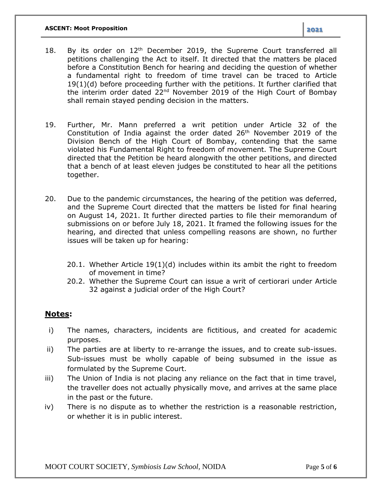- 18. By its order on  $12<sup>th</sup>$  December 2019, the Supreme Court transferred all petitions challenging the Act to itself. It directed that the matters be placed before a Constitution Bench for hearing and deciding the question of whether a fundamental right to freedom of time travel can be traced to Article 19(1)(d) before proceeding further with the petitions. It further clarified that the interim order dated 22<sup>nd</sup> November 2019 of the High Court of Bombay shall remain stayed pending decision in the matters.
- 19. Further, Mr. Mann preferred a writ petition under Article 32 of the Constitution of India against the order dated  $26<sup>th</sup>$  November 2019 of the Division Bench of the High Court of Bombay, contending that the same violated his Fundamental Right to freedom of movement. The Supreme Court directed that the Petition be heard alongwith the other petitions, and directed that a bench of at least eleven judges be constituted to hear all the petitions together.
- 20. Due to the pandemic circumstances, the hearing of the petition was deferred, and the Supreme Court directed that the matters be listed for final hearing on August 14, 2021. It further directed parties to file their memorandum of submissions on or before July 18, 2021. It framed the following issues for the hearing, and directed that unless compelling reasons are shown, no further issues will be taken up for hearing:
	- 20.1. Whether Article 19(1)(d) includes within its ambit the right to freedom of movement in time?
	- 20.2. Whether the Supreme Court can issue a writ of certiorari under Article 32 against a judicial order of the High Court?

#### **Notes:**

- i) The names, characters, incidents are fictitious, and created for academic purposes.
- ii) The parties are at liberty to re-arrange the issues, and to create sub-issues. Sub-issues must be wholly capable of being subsumed in the issue as formulated by the Supreme Court.
- iii) The Union of India is not placing any reliance on the fact that in time travel, the traveller does not actually physically move, and arrives at the same place in the past or the future.
- iv) There is no dispute as to whether the restriction is a reasonable restriction, or whether it is in public interest.